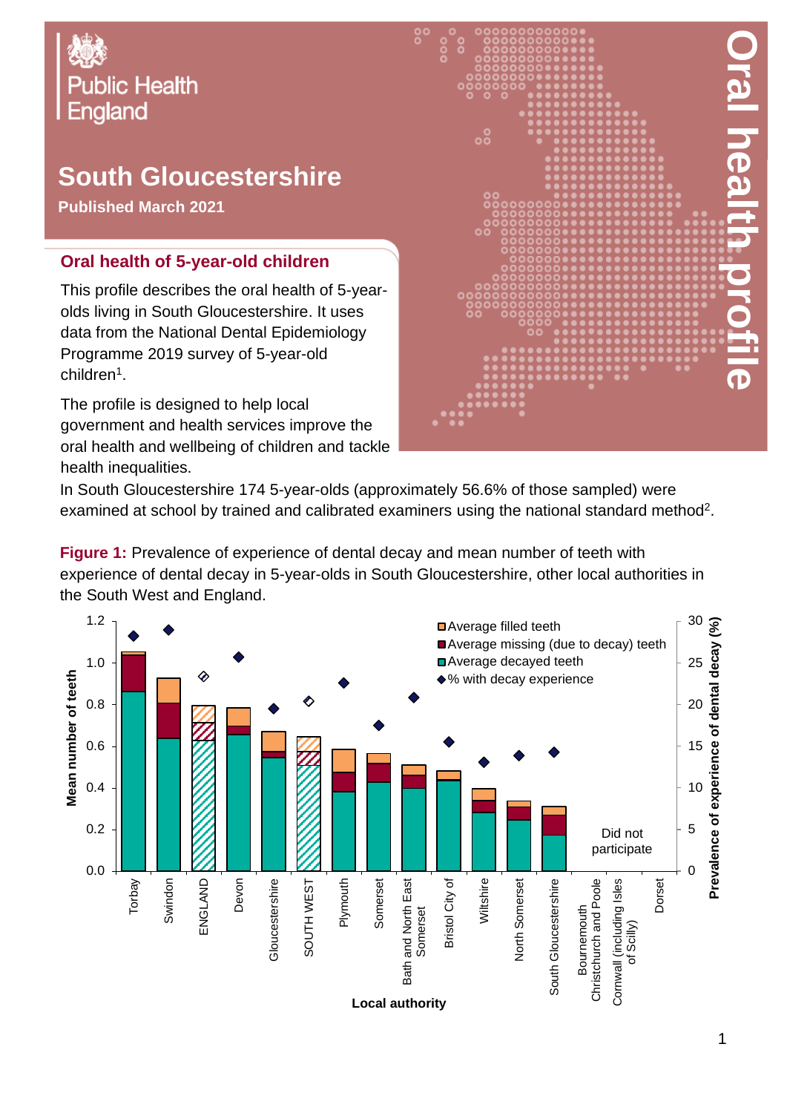

# **South Gloucestershire**

**Published March 2021**

#### **Oral health of 5-year-old children**

This profile describes the oral health of 5-yearolds living in South Gloucestershire. It uses data from the National Dental Epidemiology Programme 2019 survey of 5-year-old children<sup>1</sup>.

The profile is designed to help local government and health services improve the oral health and wellbeing of children and tackle health inequalities.



In South Gloucestershire 174 5-year-olds (approximately 56.6% of those sampled) were examined at school by trained and calibrated examiners using the national standard method<sup>2</sup>.

**Figure 1:** Prevalence of experience of dental decay and mean number of teeth with experience of dental decay in 5-year-olds in South Gloucestershire, other local authorities in the South West and England.

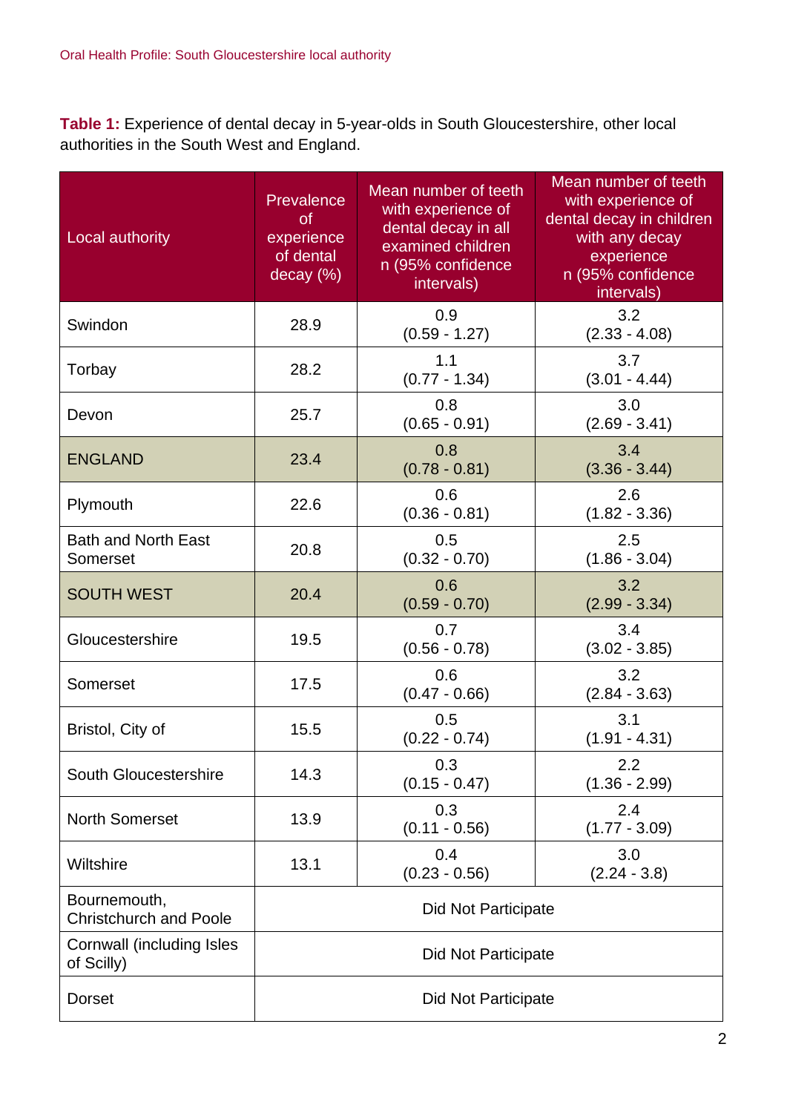**Table 1:** Experience of dental decay in 5-year-olds in South Gloucestershire, other local authorities in the South West and England.

| Local authority                               | Prevalence<br><b>of</b><br>experience<br>of dental<br>decay (%) | Mean number of teeth<br>with experience of<br>dental decay in all<br>examined children<br>n (95% confidence<br>intervals) | Mean number of teeth<br>with experience of<br>dental decay in children<br>with any decay<br>experience<br>n (95% confidence<br>intervals) |  |
|-----------------------------------------------|-----------------------------------------------------------------|---------------------------------------------------------------------------------------------------------------------------|-------------------------------------------------------------------------------------------------------------------------------------------|--|
| Swindon                                       | 28.9                                                            | 0.9<br>$(0.59 - 1.27)$                                                                                                    | 3.2<br>$(2.33 - 4.08)$                                                                                                                    |  |
| Torbay                                        | 28.2                                                            | 3.7<br>1.1<br>$(0.77 - 1.34)$<br>$(3.01 - 4.44)$                                                                          |                                                                                                                                           |  |
| Devon                                         | 25.7                                                            | 0.8<br>3.0<br>$(0.65 - 0.91)$<br>$(2.69 - 3.41)$                                                                          |                                                                                                                                           |  |
| <b>ENGLAND</b>                                | 23.4                                                            | 0.8<br>$(0.78 - 0.81)$                                                                                                    | 3.4<br>$(3.36 - 3.44)$                                                                                                                    |  |
| Plymouth                                      | 22.6                                                            | 0.6<br>$(0.36 - 0.81)$                                                                                                    | 2.6<br>$(1.82 - 3.36)$                                                                                                                    |  |
| <b>Bath and North East</b><br>Somerset        | 20.8                                                            | 0.5<br>$(0.32 - 0.70)$                                                                                                    | 2.5<br>$(1.86 - 3.04)$                                                                                                                    |  |
| <b>SOUTH WEST</b>                             | 20.4                                                            | 0.6<br>$(0.59 - 0.70)$                                                                                                    | 3.2<br>$(2.99 - 3.34)$                                                                                                                    |  |
| Gloucestershire                               | 19.5                                                            | 0.7<br>$(0.56 - 0.78)$                                                                                                    | 3.4<br>$(3.02 - 3.85)$                                                                                                                    |  |
| Somerset                                      | 17.5                                                            | 0.6<br>$(0.47 - 0.66)$                                                                                                    | 3.2<br>$(2.84 - 3.63)$                                                                                                                    |  |
| Bristol, City of                              | 15.5                                                            | 0.5<br>$(0.22 - 0.74)$                                                                                                    | 3.1<br>$(1.91 - 4.31)$                                                                                                                    |  |
| South Gloucestershire                         | 14.3                                                            | 0.3<br>$(0.15 - 0.47)$                                                                                                    | 2.2<br>$(1.36 - 2.99)$                                                                                                                    |  |
| <b>North Somerset</b>                         | 13.9                                                            | 0.3<br>$(0.11 - 0.56)$                                                                                                    | 2.4<br>$(1.77 - 3.09)$                                                                                                                    |  |
| Wiltshire                                     | 13.1                                                            | 0.4<br>$(0.23 - 0.56)$                                                                                                    | 3.0<br>$(2.24 - 3.8)$                                                                                                                     |  |
| Bournemouth,<br><b>Christchurch and Poole</b> | <b>Did Not Participate</b>                                      |                                                                                                                           |                                                                                                                                           |  |
| Cornwall (including Isles<br>of Scilly)       | <b>Did Not Participate</b>                                      |                                                                                                                           |                                                                                                                                           |  |
| <b>Dorset</b>                                 | <b>Did Not Participate</b>                                      |                                                                                                                           |                                                                                                                                           |  |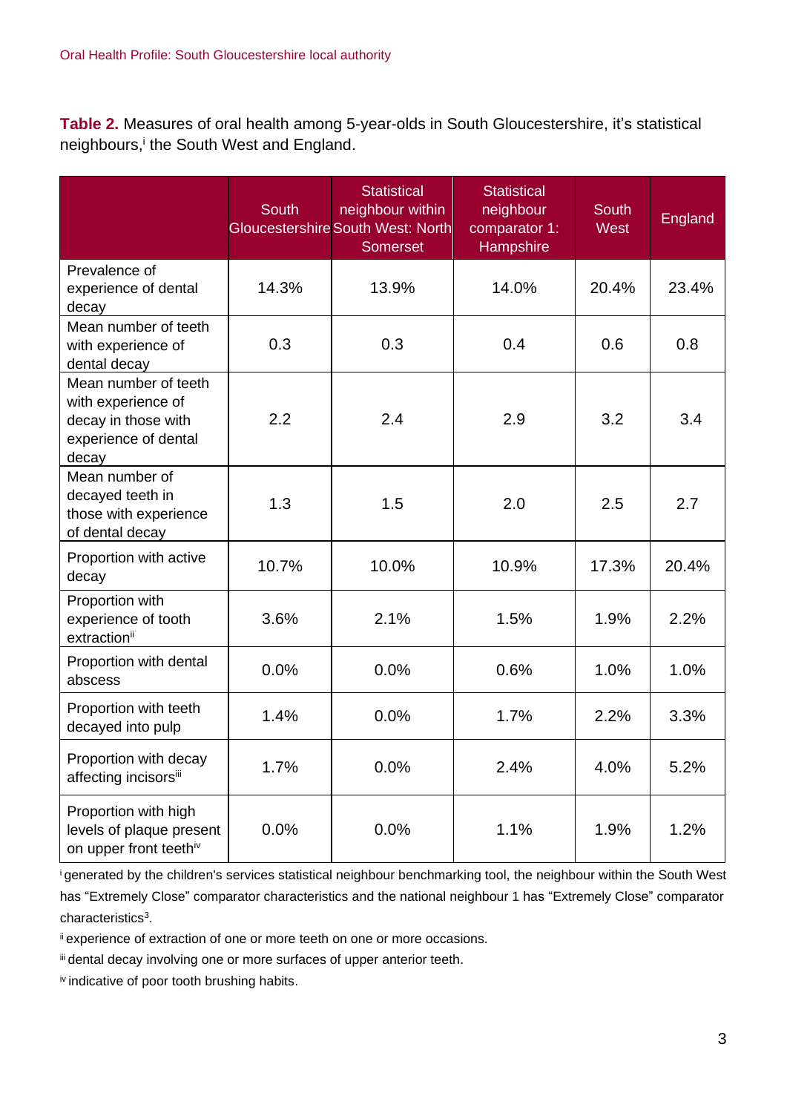**Table 2.** Measures of oral health among 5-year-olds in South Gloucestershire, it's statistical neighbours,<sup>i</sup> the South West and England.

|                                                                                                    | <b>South</b> | <b>Statistical</b><br>neighbour within<br><b>Gloucestershire South West: North</b><br><b>Somerset</b> | <b>Statistical</b><br>neighbour<br>comparator 1:<br>Hampshire | <b>South</b><br><b>West</b> | England |
|----------------------------------------------------------------------------------------------------|--------------|-------------------------------------------------------------------------------------------------------|---------------------------------------------------------------|-----------------------------|---------|
| Prevalence of<br>experience of dental<br>decay                                                     | 14.3%        | 13.9%                                                                                                 | 14.0%                                                         | 20.4%                       | 23.4%   |
| Mean number of teeth<br>with experience of<br>dental decay                                         | 0.3          | 0.3                                                                                                   | 0.4                                                           | 0.6                         | 0.8     |
| Mean number of teeth<br>with experience of<br>decay in those with<br>experience of dental<br>decay | 2.2          | 2.4                                                                                                   | 2.9                                                           | 3.2                         | 3.4     |
| Mean number of<br>decayed teeth in<br>those with experience<br>of dental decay                     | 1.3          | 1.5                                                                                                   | 2.0                                                           | 2.5                         | 2.7     |
| Proportion with active<br>decay                                                                    | 10.7%        | 10.0%                                                                                                 | 10.9%                                                         | 17.3%                       | 20.4%   |
| Proportion with<br>experience of tooth<br>extraction <sup>ii</sup>                                 | 3.6%         | 2.1%                                                                                                  | 1.5%                                                          | 1.9%                        | 2.2%    |
| Proportion with dental<br>abscess                                                                  | 0.0%         | 0.0%                                                                                                  | 0.6%                                                          | 1.0%                        | 1.0%    |
| Proportion with teeth<br>decayed into pulp                                                         | 1.4%         | 0.0%                                                                                                  | 1.7%                                                          | 2.2%                        | 3.3%    |
| Proportion with decay<br>affecting incisorsiii                                                     | 1.7%         | 0.0%                                                                                                  | 2.4%                                                          | 4.0%                        | 5.2%    |
| Proportion with high<br>levels of plaque present<br>on upper front teethiv                         | 0.0%         | 0.0%                                                                                                  | 1.1%                                                          | 1.9%                        | 1.2%    |

<sup>i</sup>generated by the children's services statistical neighbour benchmarking tool, the neighbour within the South West has "Extremely Close" comparator characteristics and the national neighbour 1 has "Extremely Close" comparator characteristics<sup>3</sup>.

ii experience of extraction of one or more teeth on one or more occasions.

iii dental decay involving one or more surfaces of upper anterior teeth.

iv indicative of poor tooth brushing habits.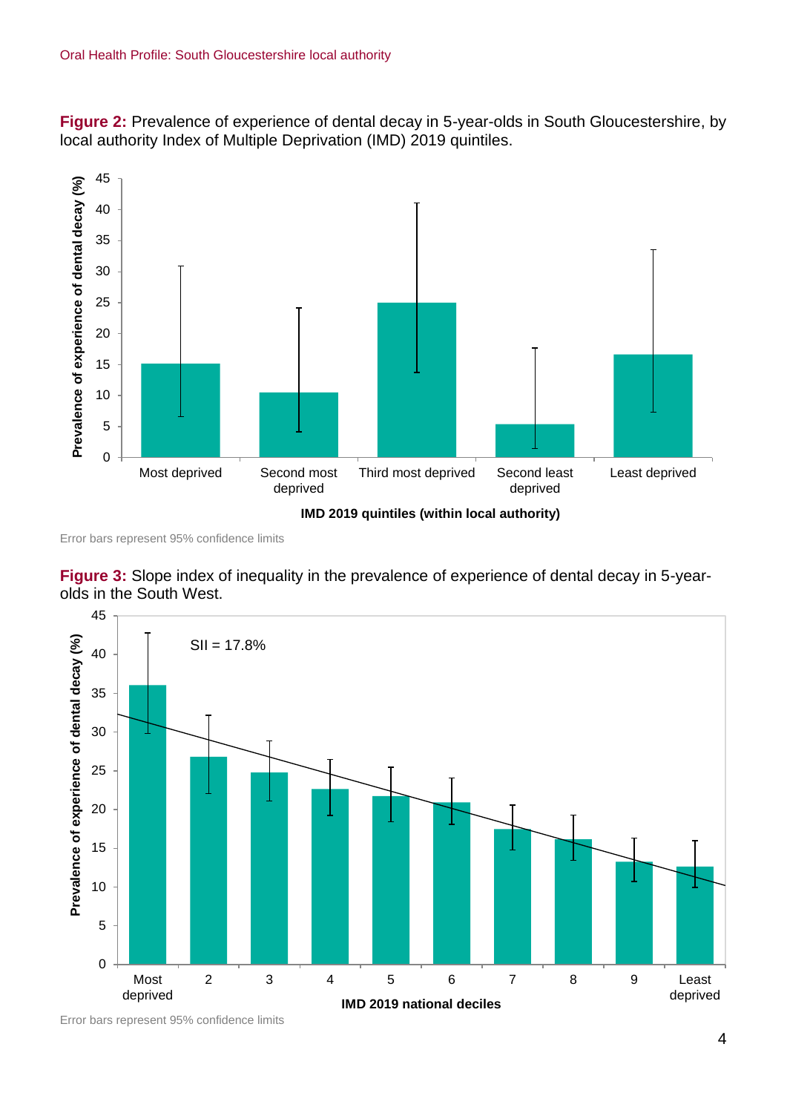**Figure 2:** Prevalence of experience of dental decay in 5-year-olds in South Gloucestershire, by local authority Index of Multiple Deprivation (IMD) 2019 quintiles.



Error bars represent 95% confidence limits

**Figure 3:** Slope index of inequality in the prevalence of experience of dental decay in 5-yearolds in the South West.



Error bars represent 95% confidence limits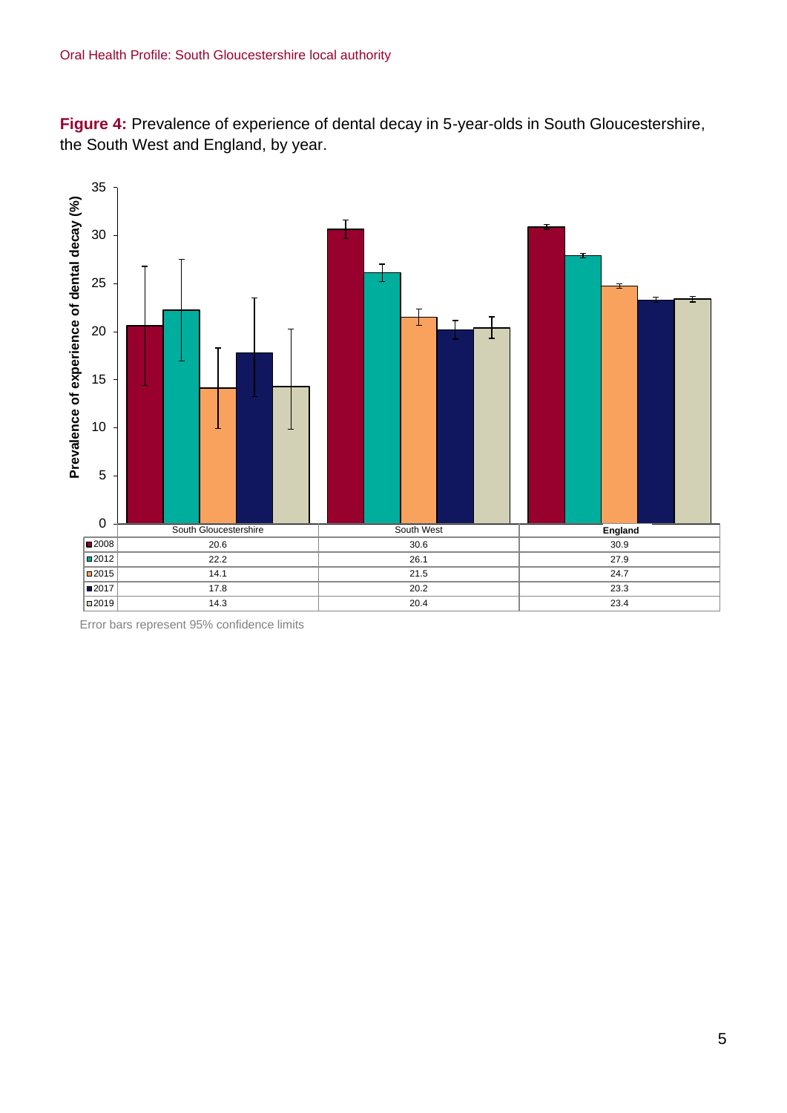**Figure 4:** Prevalence of experience of dental decay in 5-year-olds in South Gloucestershire, the South West and England, by year.



Error bars represent 95% confidence limits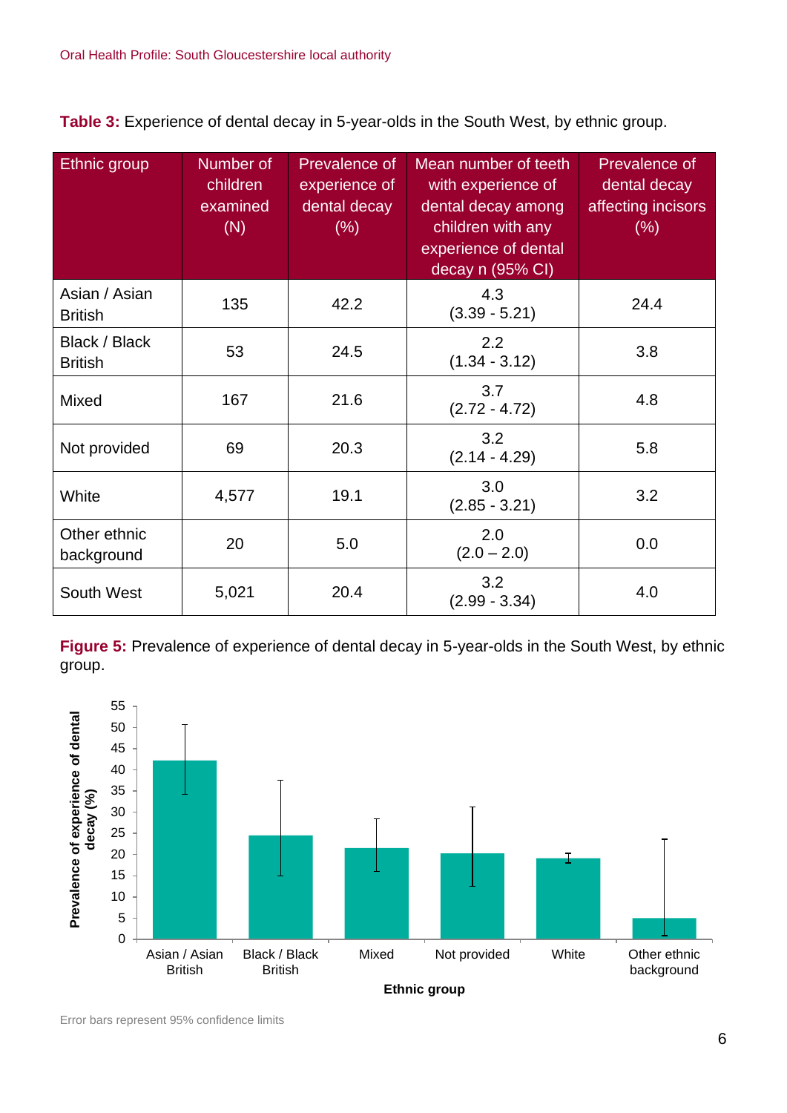**Table 3:** Experience of dental decay in 5-year-olds in the South West, by ethnic group.

| <b>Ethnic group</b>             | Number of<br>children<br>examined<br>(N) | Prevalence of<br>experience of<br>dental decay<br>(% ) | Mean number of teeth<br>with experience of<br>dental decay among<br>children with any<br>experience of dental<br>decay n (95% CI) | Prevalence of<br>dental decay<br>affecting incisors<br>(% ) |
|---------------------------------|------------------------------------------|--------------------------------------------------------|-----------------------------------------------------------------------------------------------------------------------------------|-------------------------------------------------------------|
| Asian / Asian<br><b>British</b> | 135                                      | 42.2                                                   | 4.3<br>$(3.39 - 5.21)$                                                                                                            | 24.4                                                        |
| Black / Black<br><b>British</b> | 53                                       | 24.5                                                   | 2.2<br>$(1.34 - 3.12)$                                                                                                            | 3.8                                                         |
| Mixed                           | 167                                      | 21.6                                                   | 3.7<br>$(2.72 - 4.72)$                                                                                                            | 4.8                                                         |
| Not provided                    | 69                                       | 20.3                                                   | 3.2<br>$(2.14 - 4.29)$                                                                                                            | 5.8                                                         |
| White                           | 4,577                                    | 19.1                                                   | 3.0<br>$(2.85 - 3.21)$                                                                                                            | 3.2                                                         |
| Other ethnic<br>background      | 20                                       | 5.0                                                    | 2.0<br>$(2.0 - 2.0)$                                                                                                              | 0.0                                                         |
| South West                      | 5,021                                    | 20.4                                                   | 3.2<br>$(2.99 - 3.34)$                                                                                                            | 4.0                                                         |

**Figure 5:** Prevalence of experience of dental decay in 5-year-olds in the South West, by ethnic group.



Error bars represent 95% confidence limits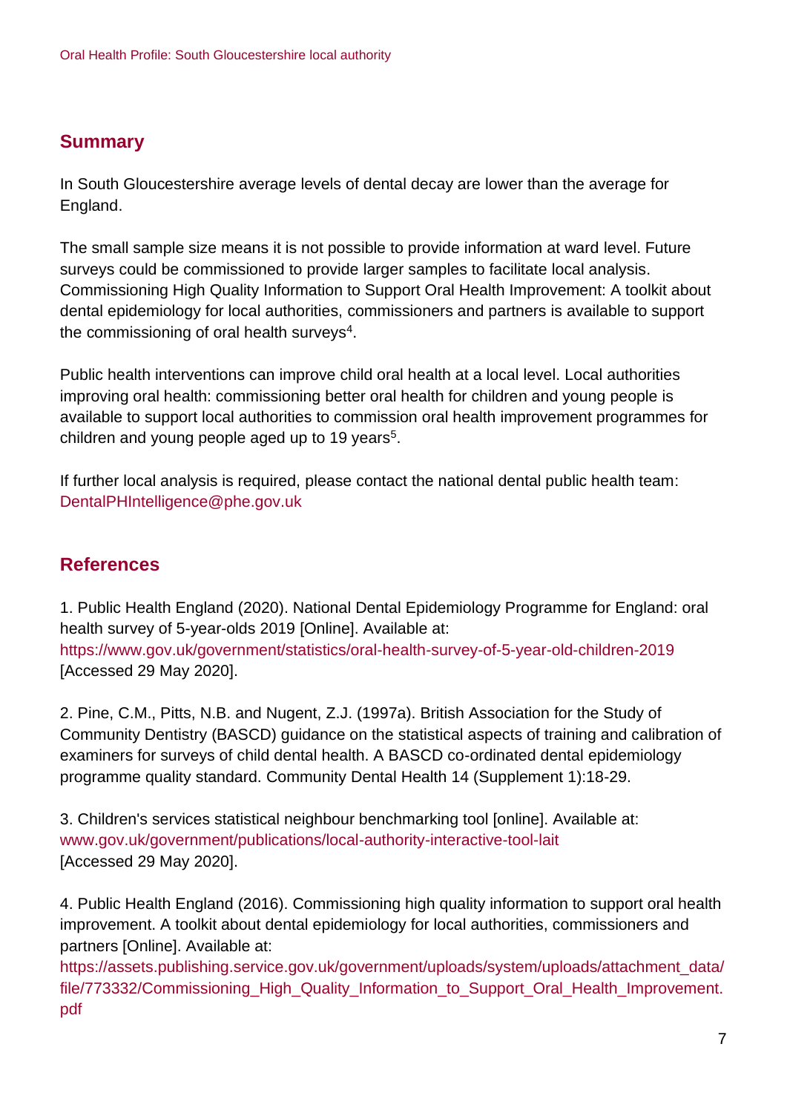## **Summary**

In South Gloucestershire average levels of dental decay are lower than the average for England.

The small sample size means it is not possible to provide information at ward level. Future surveys could be commissioned to provide larger samples to facilitate local analysis. Commissioning High Quality Information to Support Oral Health Improvement: A toolkit about dental epidemiology for local authorities, commissioners and partners is available to support the commissioning of oral health surveys<sup>4</sup>.

Public health interventions can improve child oral health at a local level. Local authorities improving oral health: commissioning better oral health for children and young people is available to support local authorities to commission oral health improvement programmes for children and young people aged up to 19 years<sup>5</sup>.

If further local analysis is required, please contact the national dental public health team: DentalPHIntelligence@phe.gov.uk

## **References**

1. Public Health England (2020). National Dental Epidemiology Programme for England: oral health survey of 5-year-olds 2019 [Online]. Available at: <https://www.gov.uk/government/statistics/oral-health-survey-of-5-year-old-children-2019> [Accessed 29 May 2020].

2. Pine, C.M., Pitts, N.B. and Nugent, Z.J. (1997a). British Association for the Study of Community Dentistry (BASCD) guidance on the statistical aspects of training and calibration of examiners for surveys of child dental health. A BASCD co-ordinated dental epidemiology programme quality standard. Community Dental Health 14 (Supplement 1):18-29.

3. Children's services statistical neighbour benchmarking tool [online]. Available at: [www.gov.uk/government/publications/local-authority-interactive-tool-lait](http://www.gov.uk/government/publications/local-authority-interactive-tool-lait) [Accessed 29 May 2020].

4. Public Health England (2016). Commissioning high quality information to support oral health improvement. A toolkit about dental epidemiology for local authorities, commissioners and partners [Online]. Available at:

[https://assets.publishing.service.gov.uk/government/uploads/system/uploads/attachment\\_data/](https://assets.publishing.service.gov.uk/government/uploads/system/uploads/attachment_data/file/773332/Commissioning_High_Quality_Information_to_Support_Oral_Health_Improvement.pdf) [file/773332/Commissioning\\_High\\_Quality\\_Information\\_to\\_Support\\_Oral\\_Health\\_Improvement.](https://assets.publishing.service.gov.uk/government/uploads/system/uploads/attachment_data/file/773332/Commissioning_High_Quality_Information_to_Support_Oral_Health_Improvement.pdf) [pdf](https://assets.publishing.service.gov.uk/government/uploads/system/uploads/attachment_data/file/773332/Commissioning_High_Quality_Information_to_Support_Oral_Health_Improvement.pdf)